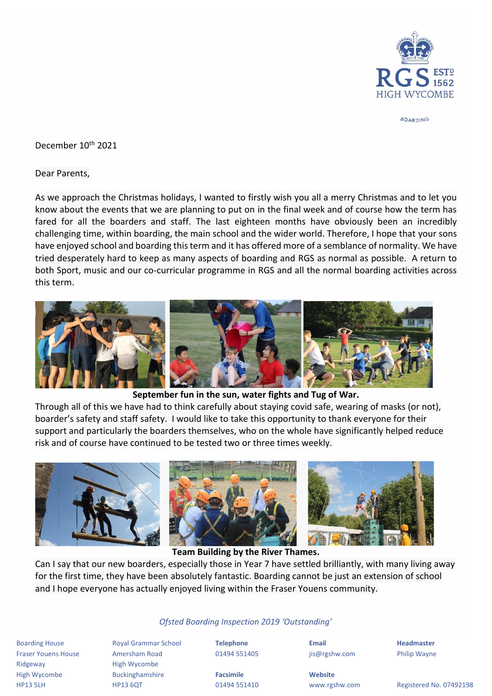

**BOARDING** 

December 10<sup>th</sup> 2021

Dear Parents,

As we approach the Christmas holidays, I wanted to firstly wish you all a merry Christmas and to let you know about the events that we are planning to put on in the final week and of course how the term has fared for all the boarders and staff. The last eighteen months have obviously been an incredibly challenging time, within boarding, the main school and the wider world. Therefore, I hope that your sons have enjoyed school and boarding this term and it has offered more of a semblance of normality. We have tried desperately hard to keep as many aspects of boarding and RGS as normal as possible. A return to both Sport, music and our co-curricular programme in RGS and all the normal boarding activities across this term.



## **September fun in the sun, water fights and Tug of War.**

Through all of this we have had to think carefully about staying covid safe, wearing of masks (or not), boarder's safety and staff safety. I would like to take this opportunity to thank everyone for their support and particularly the boarders themselves, who on the whole have significantly helped reduce risk and of course have continued to be tested two or three times weekly.



**Team Building by the River Thames.**

Can I say that our new boarders, especially those in Year 7 have settled brilliantly, with many living away for the first time, they have been absolutely fantastic. Boarding cannot be just an extension of school and I hope everyone has actually enjoyed living within the Fraser Youens community.

## *Ofsted Boarding Inspection 2019 'Outstanding'*

Boarding House Royal Grammar School **Telephone Email Headmaster** Fraser Youens House Amersham Road 01494 551405 jis@rgshw.com Philip Wayne Ridgeway **High Wycombe** High Wycombe Buckinghamshire **Facsimile Website**